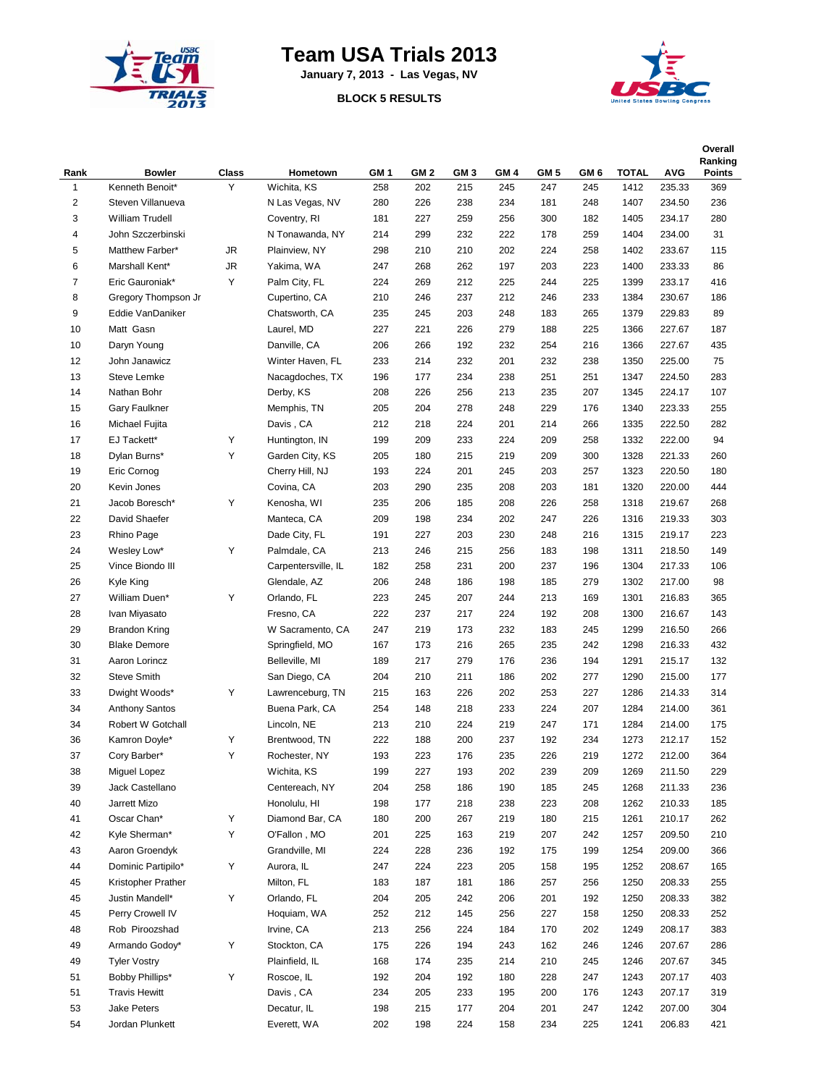

## **Team USA Trials 2013**

**January 7, 2013 - Las Vegas, NV**

## **BLOCK 5 RESULTS**



|                     |                                         |            |                                  |            |            |            |            |                 |            |              |                  | Overall<br>Ranking |
|---------------------|-----------------------------------------|------------|----------------------------------|------------|------------|------------|------------|-----------------|------------|--------------|------------------|--------------------|
| Rank                | <b>Bowler</b><br>Kenneth Benoit*        | Class<br>Y | Hometown                         | GM 1       | GM 2       | GM 3       | GM 4       | GM <sub>5</sub> | GM 6       | <b>TOTAL</b> | <b>AVG</b>       | Points             |
| 1<br>$\overline{c}$ | Steven Villanueva                       |            | Wichita, KS<br>N Las Vegas, NV   | 258<br>280 | 202<br>226 | 215<br>238 | 245<br>234 | 247<br>181      | 245<br>248 | 1412<br>1407 | 235.33<br>234.50 | 369<br>236         |
| 3                   | William Trudell                         |            | Coventry, RI                     | 181        | 227        | 259        | 256        | 300             | 182        | 1405         | 234.17           | 280                |
| 4                   | John Szczerbinski                       |            | N Tonawanda, NY                  | 214        | 299        | 232        | 222        | 178             | 259        | 1404         | 234.00           | 31                 |
| 5                   | Matthew Farber*                         | JR         | Plainview, NY                    | 298        | 210        | 210        | 202        | 224             | 258        | 1402         | 233.67           | 115                |
| 6                   | Marshall Kent*                          | <b>JR</b>  | Yakima, WA                       | 247        | 268        | 262        | 197        | 203             | 223        | 1400         | 233.33           | 86                 |
| $\overline{7}$      | Eric Gauroniak*                         | Υ          | Palm City, FL                    | 224        | 269        | 212        | 225        | 244             | 225        | 1399         | 233.17           | 416                |
| 8                   |                                         |            |                                  |            |            |            |            |                 |            |              |                  |                    |
| 9                   | Gregory Thompson Jr<br>Eddie VanDaniker |            | Cupertino, CA<br>Chatsworth, CA  | 210<br>235 | 246<br>245 | 237<br>203 | 212<br>248 | 246<br>183      | 233<br>265 | 1384<br>1379 | 230.67<br>229.83 | 186<br>89          |
| 10                  | Matt Gasn                               |            |                                  |            | 221        | 226        | 279        |                 |            | 1366         | 227.67           |                    |
|                     |                                         |            | Laurel, MD                       | 227        |            |            |            | 188             | 225        |              |                  | 187                |
| 10<br>12            | Daryn Young<br>John Janawicz            |            | Danville, CA<br>Winter Haven, FL | 206<br>233 | 266<br>214 | 192<br>232 | 232<br>201 | 254<br>232      | 216<br>238 | 1366<br>1350 | 227.67<br>225.00 | 435<br>75          |
| 13                  |                                         |            | Nacagdoches, TX                  |            | 177        | 234        |            |                 |            | 1347         |                  | 283                |
|                     | <b>Steve Lemke</b>                      |            |                                  | 196        |            |            | 238        | 251             | 251        |              | 224.50           |                    |
| 14                  | Nathan Bohr                             |            | Derby, KS                        | 208        | 226        | 256        | 213        | 235             | 207        | 1345         | 224.17           | 107                |
| 15<br>16            | Gary Faulkner                           |            | Memphis, TN                      | 205        | 204        | 278<br>224 | 248        | 229             | 176        | 1340         | 223.33           | 255                |
|                     | Michael Fujita                          |            | Davis, CA                        | 212        | 218        |            | 201        | 214             | 266        | 1335         | 222.50           | 282                |
| 17                  | EJ Tackett*                             | Υ          | Huntington, IN                   | 199        | 209        | 233        | 224        | 209             | 258        | 1332         | 222.00           | 94                 |
| 18                  | Dylan Burns*                            | Υ          | Garden City, KS                  | 205        | 180        | 215        | 219        | 209             | 300        | 1328         | 221.33           | 260                |
| 19                  | Eric Cornog                             |            | Cherry Hill, NJ                  | 193        | 224        | 201        | 245        | 203             | 257        | 1323         | 220.50           | 180                |
| 20                  | Kevin Jones                             |            | Covina, CA                       | 203        | 290        | 235        | 208        | 203             | 181        | 1320         | 220.00           | 444                |
| 21                  | Jacob Boresch*                          | Υ          | Kenosha, WI                      | 235        | 206        | 185        | 208        | 226             | 258        | 1318         | 219.67           | 268                |
| 22                  | David Shaefer                           |            | Manteca, CA                      | 209        | 198        | 234        | 202        | 247             | 226        | 1316         | 219.33           | 303                |
| 23                  | Rhino Page                              |            | Dade City, FL                    | 191        | 227        | 203        | 230        | 248             | 216        | 1315         | 219.17           | 223                |
| 24                  | Wesley Low*                             | Υ          | Palmdale, CA                     | 213        | 246        | 215        | 256        | 183             | 198        | 1311         | 218.50           | 149                |
| 25                  | Vince Biondo III                        |            | Carpentersville, IL              | 182        | 258        | 231        | 200        | 237             | 196        | 1304         | 217.33           | 106                |
| 26                  | Kyle King                               |            | Glendale, AZ                     | 206        | 248        | 186        | 198        | 185             | 279        | 1302         | 217.00           | 98                 |
| 27                  | William Duen*                           | Υ          | Orlando, FL                      | 223        | 245        | 207        | 244        | 213             | 169        | 1301         | 216.83           | 365                |
| 28                  | Ivan Miyasato                           |            | Fresno, CA                       | 222        | 237        | 217        | 224        | 192             | 208        | 1300         | 216.67           | 143                |
| 29                  | <b>Brandon Kring</b>                    |            | W Sacramento, CA                 | 247        | 219        | 173        | 232        | 183             | 245        | 1299         | 216.50           | 266                |
| 30                  | <b>Blake Demore</b>                     |            | Springfield, MO                  | 167        | 173        | 216        | 265        | 235             | 242        | 1298         | 216.33           | 432                |
| 31                  | Aaron Lorincz                           |            | Belleville, MI                   | 189        | 217        | 279        | 176        | 236             | 194        | 1291         | 215.17           | 132                |
| 32                  | <b>Steve Smith</b>                      |            | San Diego, CA                    | 204        | 210        | 211        | 186        | 202             | 277        | 1290         | 215.00           | 177                |
| 33                  | Dwight Woods*                           | Υ          | Lawrenceburg, TN                 | 215        | 163        | 226        | 202        | 253             | 227        | 1286         | 214.33           | 314                |
| 34                  | <b>Anthony Santos</b>                   |            | Buena Park, CA                   | 254        | 148        | 218        | 233        | 224             | 207        | 1284         | 214.00           | 361                |
| 34                  | Robert W Gotchall                       |            | Lincoln, NE                      | 213        | 210        | 224        | 219        | 247             | 171        | 1284         | 214.00           | 175                |
| 36                  | Kamron Doyle*                           | Υ          | Brentwood, TN                    | 222        | 188        | 200        | 237        | 192             | 234        | 1273         | 212.17           | 152                |
| 37                  | Cory Barber*                            | Υ          | Rochester, NY                    | 193        | 223        | 176        | 235        | 226             | 219        | 1272         | 212.00           | 364                |
| 38                  | Miguel Lopez                            |            | Wichita, KS                      | 199        | 227        | 193        | 202        | 239             | 209        | 1269         | 211.50           | 229                |
| 39                  | Jack Castellano                         |            | Centereach, NY                   | 204        | 258        | 186        | 190        | 185             | 245        | 1268         | 211.33           | 236                |
| 40                  | Jarrett Mizo                            |            | Honolulu, HI                     | 198        | 177        | 218        | 238        | 223             | 208        | 1262         | 210.33           | 185                |
| 41                  | Oscar Chan*                             | Υ          | Diamond Bar, CA                  | 180        | 200        | 267        | 219        | 180             | 215        | 1261         | 210.17           | 262                |
| 42                  | Kyle Sherman*                           | Υ          | O'Fallon, MO                     | 201        | 225        | 163        | 219        | 207             | 242        | 1257         | 209.50           | 210                |
| 43                  | Aaron Groendyk                          |            | Grandville, MI                   | 224        | 228        | 236        | 192        | 175             | 199        | 1254         | 209.00           | 366                |
| 44                  | Dominic Partipilo*                      | Υ          | Aurora, IL                       | 247        | 224        | 223        | 205        | 158             | 195        | 1252         | 208.67           | 165                |
| 45                  | Kristopher Prather                      |            | Milton, FL                       | 183        | 187        | 181        | 186        | 257             | 256        | 1250         | 208.33           | 255                |
| 45                  | Justin Mandell*                         | Υ          | Orlando, FL                      | 204        | 205        | 242        | 206        | 201             | 192        | 1250         | 208.33           | 382                |
| 45                  | Perry Crowell IV                        |            | Hoquiam, WA                      | 252        | 212        | 145        | 256        | 227             | 158        | 1250         | 208.33           | 252                |
| 48                  | Rob Piroozshad                          |            | Irvine, CA                       | 213        | 256        | 224        | 184        | 170             | 202        | 1249         | 208.17           | 383                |
| 49                  | Armando Godoy*                          | Υ          | Stockton, CA                     | 175        | 226        | 194        | 243        | 162             | 246        | 1246         | 207.67           | 286                |
| 49                  | <b>Tyler Vostry</b>                     |            | Plainfield, IL                   | 168        | 174        | 235        | 214        | 210             | 245        | 1246         | 207.67           | 345                |
| 51                  | Bobby Phillips*                         | Υ          | Roscoe, IL                       | 192        | 204        | 192        | 180        | 228             | 247        | 1243         | 207.17           | 403                |
| 51                  | <b>Travis Hewitt</b>                    |            | Davis, CA                        | 234        | 205        | 233        | 195        | 200             | 176        | 1243         | 207.17           | 319                |
| 53                  | <b>Jake Peters</b>                      |            | Decatur, IL                      | 198        | 215        | 177        | 204        | 201             | 247        | 1242         | 207.00           | 304                |
| 54                  | Jordan Plunkett                         |            | Everett, WA                      | 202        | 198        | 224        | 158        | 234             | 225        | 1241         | 206.83           | 421                |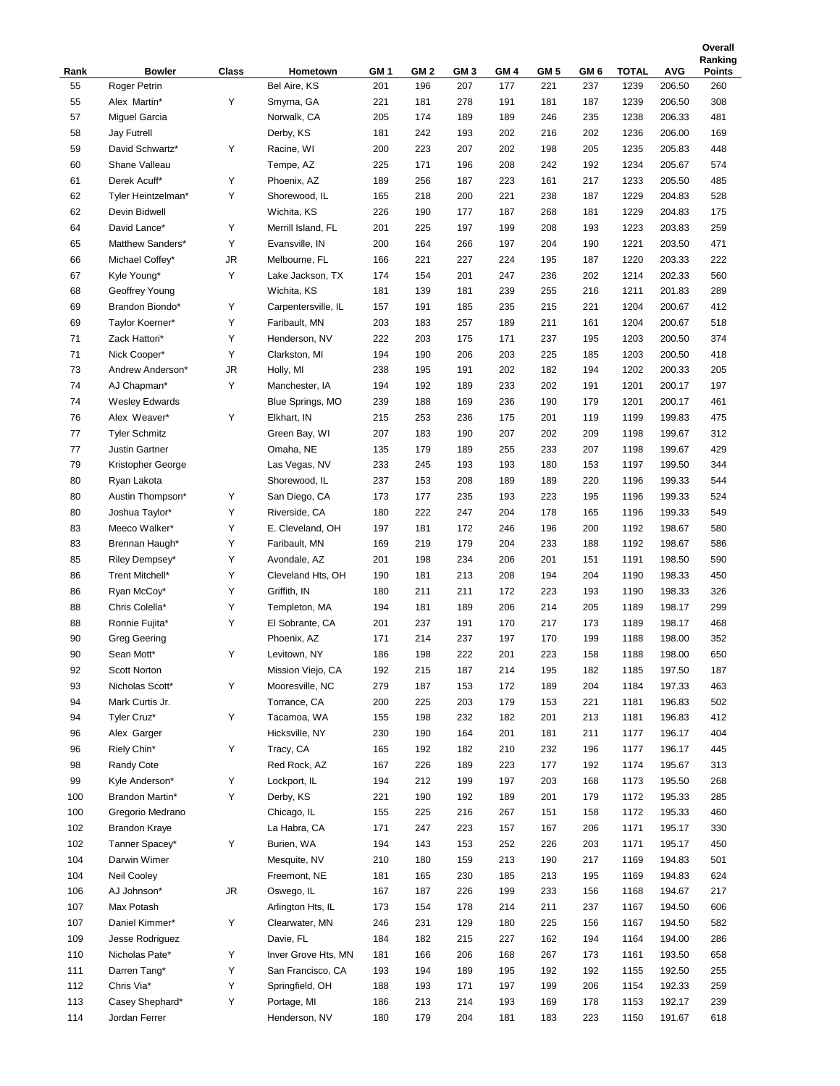|      |                       |       |                     |                 |                 |                 |                 |                 |                 |              |            | Ranking       |
|------|-----------------------|-------|---------------------|-----------------|-----------------|-----------------|-----------------|-----------------|-----------------|--------------|------------|---------------|
| Rank | <b>Bowler</b>         | Class | Hometown            | GM <sub>1</sub> | GM <sub>2</sub> | GM <sub>3</sub> | GM <sub>4</sub> | GM <sub>5</sub> | GM <sub>6</sub> | <b>TOTAL</b> | <b>AVG</b> | <b>Points</b> |
| 55   | Roger Petrin          |       | Bel Aire, KS        | 201             | 196             | 207             | 177             | 221             | 237             | 1239         | 206.50     | 260           |
| 55   | Alex Martin*          | Υ     | Smyrna, GA          | 221             | 181             | 278             | 191             | 181             | 187             | 1239         | 206.50     | 308           |
| 57   | Miguel Garcia         |       | Norwalk, CA         | 205             | 174             | 189             | 189             | 246             | 235             | 1238         | 206.33     | 481           |
| 58   | Jay Futrell           |       | Derby, KS           | 181             | 242             | 193             | 202             | 216             | 202             | 1236         | 206.00     | 169           |
| 59   | David Schwartz*       | Υ     | Racine, WI          | 200             | 223             | 207             | 202             | 198             | 205             | 1235         | 205.83     | 448           |
| 60   | Shane Valleau         |       | Tempe, AZ           | 225             | 171             | 196             | 208             | 242             | 192             | 1234         | 205.67     | 574           |
| 61   | Derek Acuff*          | Υ     | Phoenix, AZ         | 189             | 256             | 187             | 223             | 161             | 217             | 1233         | 205.50     | 485           |
| 62   | Tyler Heintzelman*    | Υ     | Shorewood, IL       | 165             | 218             | 200             | 221             | 238             | 187             | 1229         | 204.83     | 528           |
| 62   | Devin Bidwell         |       | Wichita, KS         | 226             | 190             | 177             | 187             | 268             | 181             | 1229         | 204.83     | 175           |
|      | David Lance*          | Υ     |                     |                 |                 | 197             |                 |                 |                 |              |            |               |
| 64   |                       |       | Merrill Island, FL  | 201             | 225             |                 | 199             | 208             | 193             | 1223         | 203.83     | 259           |
| 65   | Matthew Sanders*      | Υ     | Evansville, IN      | 200             | 164             | 266             | 197             | 204             | 190             | 1221         | 203.50     | 471           |
| 66   | Michael Coffey*       | JR    | Melbourne, FL       | 166             | 221             | 227             | 224             | 195             | 187             | 1220         | 203.33     | 222           |
| 67   | Kyle Young*           | Υ     | Lake Jackson, TX    | 174             | 154             | 201             | 247             | 236             | 202             | 1214         | 202.33     | 560           |
| 68   | Geoffrey Young        |       | Wichita, KS         | 181             | 139             | 181             | 239             | 255             | 216             | 1211         | 201.83     | 289           |
| 69   | Brandon Biondo*       | Υ     | Carpentersville, IL | 157             | 191             | 185             | 235             | 215             | 221             | 1204         | 200.67     | 412           |
| 69   | Taylor Koerner*       | Υ     | Faribault, MN       | 203             | 183             | 257             | 189             | 211             | 161             | 1204         | 200.67     | 518           |
| 71   | Zack Hattori*         | Υ     | Henderson, NV       | 222             | 203             | 175             | 171             | 237             | 195             | 1203         | 200.50     | 374           |
| 71   | Nick Cooper*          | Υ     | Clarkston, MI       | 194             | 190             | 206             | 203             | 225             | 185             | 1203         | 200.50     | 418           |
| 73   | Andrew Anderson*      | JR    | Holly, MI           | 238             | 195             | 191             | 202             | 182             | 194             | 1202         | 200.33     | 205           |
| 74   | AJ Chapman*           | Υ     | Manchester, IA      | 194             | 192             | 189             | 233             | 202             | 191             | 1201         | 200.17     | 197           |
| 74   | <b>Wesley Edwards</b> |       | Blue Springs, MO    | 239             | 188             | 169             | 236             | 190             | 179             | 1201         | 200.17     | 461           |
| 76   | Alex Weaver*          | Υ     | Elkhart, IN         | 215             | 253             | 236             | 175             | 201             | 119             | 1199         | 199.83     | 475           |
| 77   | <b>Tyler Schmitz</b>  |       | Green Bay, WI       | 207             | 183             | 190             | 207             | 202             | 209             | 1198         | 199.67     | 312           |
| 77   | Justin Gartner        |       | Omaha, NE           | 135             | 179             | 189             | 255             | 233             | 207             | 1198         | 199.67     | 429           |
| 79   | Kristopher George     |       | Las Vegas, NV       | 233             | 245             | 193             | 193             | 180             | 153             | 1197         | 199.50     | 344           |
| 80   | Ryan Lakota           |       | Shorewood, IL       | 237             | 153             | 208             | 189             | 189             | 220             | 1196         | 199.33     | 544           |
|      |                       |       |                     |                 |                 |                 | 193             |                 |                 |              |            |               |
| 80   | Austin Thompson*      | Υ     | San Diego, CA       | 173             | 177             | 235             |                 | 223             | 195             | 1196         | 199.33     | 524           |
| 80   | Joshua Taylor*        | Υ     | Riverside, CA       | 180             | 222             | 247             | 204             | 178             | 165             | 1196         | 199.33     | 549           |
| 83   | Meeco Walker*         | Υ     | E. Cleveland, OH    | 197             | 181             | 172             | 246             | 196             | 200             | 1192         | 198.67     | 580           |
| 83   | Brennan Haugh*        | Υ     | Faribault, MN       | 169             | 219             | 179             | 204             | 233             | 188             | 1192         | 198.67     | 586           |
| 85   | Riley Dempsey*        | Υ     | Avondale, AZ        | 201             | 198             | 234             | 206             | 201             | 151             | 1191         | 198.50     | 590           |
| 86   | Trent Mitchell*       | Υ     | Cleveland Hts, OH   | 190             | 181             | 213             | 208             | 194             | 204             | 1190         | 198.33     | 450           |
| 86   | Ryan McCoy*           | Υ     | Griffith, IN        | 180             | 211             | 211             | 172             | 223             | 193             | 1190         | 198.33     | 326           |
| 88   | Chris Colella*        | Υ     | Templeton, MA       | 194             | 181             | 189             | 206             | 214             | 205             | 1189         | 198.17     | 299           |
| 88   | Ronnie Fujita*        | Υ     | El Sobrante, CA     | 201             | 237             | 191             | 170             | 217             | 173             | 1189         | 198.17     | 468           |
| 90   | <b>Greg Geering</b>   |       | Phoenix, AZ         | 171             | 214             | 237             | 197             | 170             | 199             | 1188         | 198.00     | 352           |
| 90   | Sean Mott*            | Υ     | Levitown, NY        | 186             | 198             | 222             | 201             | 223             | 158             | 1188         | 198.00     | 650           |
| 92   | Scott Norton          |       | Mission Viejo, CA   | 192             | 215             | 187             | 214             | 195             | 182             | 1185         | 197.50     | 187           |
| 93   | Nicholas Scott*       | Y     | Mooresville, NC     | 279             | 187             | 153             | 172             | 189             | 204             | 1184         | 197.33     | 463           |
| 94   | Mark Curtis Jr.       |       | Torrance, CA        | 200             | 225             | 203             | 179             | 153             | 221             | 1181         | 196.83     | 502           |
| 94   | Tyler Cruz*           | Υ     | Tacamoa, WA         | 155             | 198             | 232             | 182             | 201             | 213             | 1181         | 196.83     | 412           |
| 96   | Alex Garger           |       | Hicksville, NY      | 230             | 190             | 164             | 201             | 181             | 211             | 1177         | 196.17     | 404           |
| 96   | Riely Chin*           | Υ     | Tracy, CA           | 165             | 192             | 182             | 210             | 232             | 196             | 1177         | 196.17     | 445           |
| 98   | Randy Cote            |       | Red Rock, AZ        | 167             | 226             | 189             | 223             | 177             | 192             | 1174         | 195.67     | 313           |
| 99   | Kyle Anderson*        | Υ     | Lockport, IL        | 194             | 212             | 199             | 197             | 203             | 168             | 1173         | 195.50     | 268           |
| 100  | Brandon Martin*       | Υ     | Derby, KS           | 221             | 190             | 192             | 189             | 201             | 179             | 1172         | 195.33     | 285           |
| 100  | Gregorio Medrano      |       | Chicago, IL         | 155             | 225             | 216             | 267             | 151             | 158             | 1172         | 195.33     | 460           |
| 102  | <b>Brandon Kraye</b>  |       | La Habra, CA        | 171             | 247             | 223             | 157             | 167             | 206             | 1171         | 195.17     | 330           |
|      |                       | Υ     |                     |                 |                 |                 |                 |                 |                 |              |            |               |
| 102  | Tanner Spacey*        |       | Burien, WA          | 194             | 143             | 153             | 252             | 226             | 203             | 1171         | 195.17     | 450           |
| 104  | Darwin Wimer          |       | Mesquite, NV        | 210             | 180             | 159             | 213             | 190             | 217             | 1169         | 194.83     | 501           |
| 104  | Neil Cooley           |       | Freemont, NE        | 181             | 165             | 230             | 185             | 213             | 195             | 1169         | 194.83     | 624           |
| 106  | AJ Johnson*           | JR    | Oswego, IL          | 167             | 187             | 226             | 199             | 233             | 156             | 1168         | 194.67     | 217           |
| 107  | Max Potash            |       | Arlington Hts, IL   | 173             | 154             | 178             | 214             | 211             | 237             | 1167         | 194.50     | 606           |
| 107  | Daniel Kimmer*        | Υ     | Clearwater, MN      | 246             | 231             | 129             | 180             | 225             | 156             | 1167         | 194.50     | 582           |
| 109  | Jesse Rodriguez       |       | Davie, FL           | 184             | 182             | 215             | 227             | 162             | 194             | 1164         | 194.00     | 286           |
| 110  | Nicholas Pate*        | Υ     | Inver Grove Hts, MN | 181             | 166             | 206             | 168             | 267             | 173             | 1161         | 193.50     | 658           |
| 111  | Darren Tang*          | Υ     | San Francisco, CA   | 193             | 194             | 189             | 195             | 192             | 192             | 1155         | 192.50     | 255           |
| 112  | Chris Via*            | Υ     | Springfield, OH     | 188             | 193             | 171             | 197             | 199             | 206             | 1154         | 192.33     | 259           |
| 113  | Casey Shephard*       | Υ     | Portage, MI         | 186             | 213             | 214             | 193             | 169             | 178             | 1153         | 192.17     | 239           |
| 114  | Jordan Ferrer         |       | Henderson, NV       | 180             | 179             | 204             | 181             | 183             | 223             | 1150         | 191.67     | 618           |

**Overall**